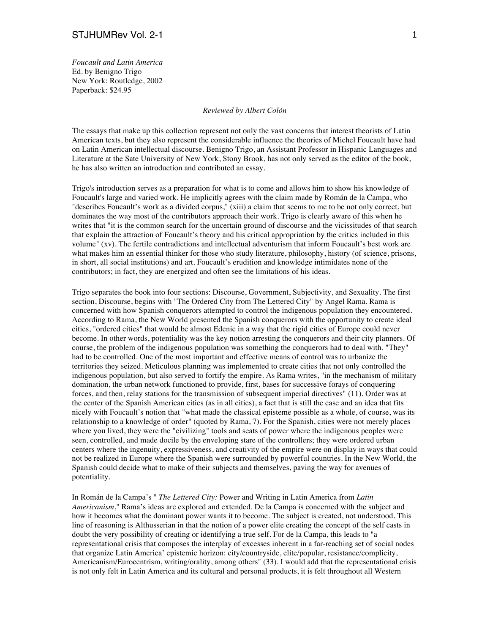*Foucault and Latin America* Ed. by Benigno Trigo New York: Routledge, 2002 Paperback: \$24.95

## *Reviewed by Albert Colón*

The essays that make up this collection represent not only the vast concerns that interest theorists of Latin American texts, but they also represent the considerable influence the theories of Michel Foucault have had on Latin American intellectual discourse. Benigno Trigo, an Assistant Professor in Hispanic Languages and Literature at the Sate University of New York, Stony Brook, has not only served as the editor of the book, he has also written an introduction and contributed an essay.

Trigo's introduction serves as a preparation for what is to come and allows him to show his knowledge of Foucault's large and varied work. He implicitly agrees with the claim made by Román de la Campa, who "describes Foucault's work as a divided corpus," (xiii) a claim that seems to me to be not only correct, but dominates the way most of the contributors approach their work. Trigo is clearly aware of this when he writes that "it is the common search for the uncertain ground of discourse and the vicissitudes of that search that explain the attraction of Foucault's theory and his critical appropriation by the critics included in this volume" (xv). The fertile contradictions and intellectual adventurism that inform Foucault's best work are what makes him an essential thinker for those who study literature, philosophy, history (of science, prisons, in short, all social institutions) and art. Foucault's erudition and knowledge intimidates none of the contributors; in fact, they are energized and often see the limitations of his ideas.

Trigo separates the book into four sections: Discourse, Government, Subjectivity, and Sexuality. The first section, Discourse, begins with "The Ordered City from The Lettered City" by Angel Rama. Rama is concerned with how Spanish conquerors attempted to control the indigenous population they encountered. According to Rama, the New World presented the Spanish conquerors with the opportunity to create ideal cities, "ordered cities" that would be almost Edenic in a way that the rigid cities of Europe could never become. In other words, potentiality was the key notion arresting the conquerors and their city planners. Of course, the problem of the indigenous population was something the conquerors had to deal with. "They" had to be controlled. One of the most important and effective means of control was to urbanize the territories they seized. Meticulous planning was implemented to create cities that not only controlled the indigenous population, but also served to fortify the empire. As Rama writes, "in the mechanism of military domination, the urban network functioned to provide, first, bases for successive forays of conquering forces, and then, relay stations for the transmission of subsequent imperial directives" (11). Order was at the center of the Spanish American cities (as in all cities), a fact that is still the case and an idea that fits nicely with Foucault's notion that "what made the classical episteme possible as a whole, of course, was its relationship to a knowledge of order" (quoted by Rama, 7). For the Spanish, cities were not merely places where you lived, they were the "civilizing" tools and seats of power where the indigenous peoples were seen, controlled, and made docile by the enveloping stare of the controllers; they were ordered urban centers where the ingenuity, expressiveness, and creativity of the empire were on display in ways that could not be realized in Europe where the Spanish were surrounded by powerful countries. In the New World, the Spanish could decide what to make of their subjects and themselves, paving the way for avenues of potentiality.

In Román de la Campa's " *The Lettered City:* Power and Writing in Latin America from *Latin Americanism*," Rama's ideas are explored and extended. De la Campa is concerned with the subject and how it becomes what the dominant power wants it to become. The subject is created, not understood. This line of reasoning is Althusserian in that the notion of a power elite creating the concept of the self casts in doubt the very possibility of creating or identifying a true self. For de la Campa, this leads to "a representational crisis that composes the interplay of excesses inherent in a far-reaching set of social nodes that organize Latin America' epistemic horizon: city/countryside, elite/popular, resistance/complicity, Americanism/Eurocentrism, writing/orality, among others" (33). I would add that the representational crisis is not only felt in Latin America and its cultural and personal products, it is felt throughout all Western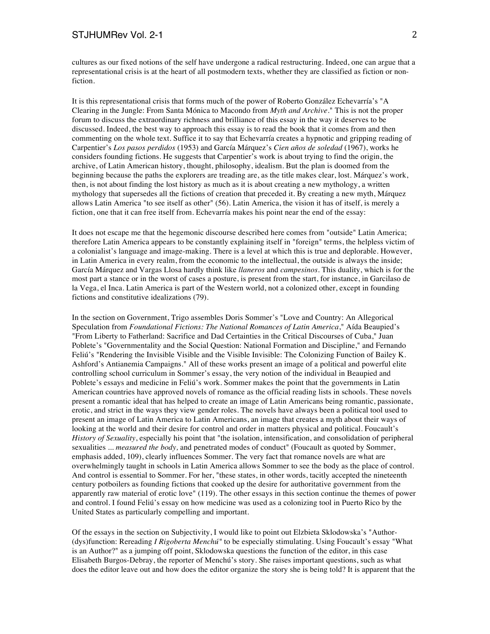cultures as our fixed notions of the self have undergone a radical restructuring. Indeed, one can argue that a representational crisis is at the heart of all postmodern texts, whether they are classified as fiction or nonfiction.

It is this representational crisis that forms much of the power of Roberto González Echevarría's "A Clearing in the Jungle: From Santa Mónica to Macondo from *Myth and Archive*." This is not the proper forum to discuss the extraordinary richness and brilliance of this essay in the way it deserves to be discussed. Indeed, the best way to approach this essay is to read the book that it comes from and then commenting on the whole text. Suffice it to say that Echevarría creates a hypnotic and gripping reading of Carpentier's *Los pasos perdidos* (1953) and García Márquez's *Cien años de soledad* (1967), works he considers founding fictions. He suggests that Carpentier's work is about trying to find the origin, the archive, of Latin American history, thought, philosophy, idealism. But the plan is doomed from the beginning because the paths the explorers are treading are, as the title makes clear, lost. Márquez's work, then, is not about finding the lost history as much as it is about creating a new mythology, a written mythology that supersedes all the fictions of creation that preceded it. By creating a new myth, Márquez allows Latin America "to see itself as other" (56). Latin America, the vision it has of itself, is merely a fiction, one that it can free itself from. Echevarría makes his point near the end of the essay:

It does not escape me that the hegemonic discourse described here comes from "outside" Latin America; therefore Latin America appears to be constantly explaining itself in "foreign" terms, the helpless victim of a colonialist's language and image-making. There is a level at which this is true and deplorable. However, in Latin America in every realm, from the economic to the intellectual, the outside is always the inside; García Márquez and Vargas Llosa hardly think like *llaneros* and *campesinos*. This duality, which is for the most part a stance or in the worst of cases a posture, is present from the start, for instance, in Garcilaso de la Vega, el Inca. Latin America is part of the Western world, not a colonized other, except in founding fictions and constitutive idealizations (79).

In the section on Government, Trigo assembles Doris Sommer's "Love and Country: An Allegorical Speculation from *Foundational Fictions: The National Romances of Latin America*," Aída Beaupied's "From Liberty to Fatherland: Sacrifice and Dad Certainties in the Critical Discourses of Cuba," Juan Poblete's "Governmentality and the Social Question: National Formation and Discipline," and Fernando Feliú's "Rendering the Invisible Visible and the Visible Invisible: The Colonizing Function of Bailey K. Ashford's Antianemia Campaigns." All of these works present an image of a political and powerful elite controlling school curriculum in Sommer's essay, the very notion of the individual in Beaupied and Poblete's essays and medicine in Feliú's work. Sommer makes the point that the governments in Latin American countries have approved novels of romance as the official reading lists in schools. These novels present a romantic ideal that has helped to create an image of Latin Americans being romantic, passionate, erotic, and strict in the ways they view gender roles. The novels have always been a political tool used to present an image of Latin America to Latin Americans, an image that creates a myth about their ways of looking at the world and their desire for control and order in matters physical and political. Foucault's *History of Sexuality*, especially his point that "the isolation, intensification, and consolidation of peripheral sexualities ... *measured the body,* and penetrated modes of conduct" (Foucault as quoted by Sommer, emphasis added, 109), clearly influences Sommer. The very fact that romance novels are what are overwhelmingly taught in schools in Latin America allows Sommer to see the body as the place of control. And control is essential to Sommer. For her, "these states, in other words, tacitly accepted the nineteenth century potboilers as founding fictions that cooked up the desire for authoritative government from the apparently raw material of erotic love" (119). The other essays in this section continue the themes of power and control. I found Feliú's essay on how medicine was used as a colonizing tool in Puerto Rico by the United States as particularly compelling and important.

Of the essays in the section on Subjectivity, I would like to point out Elzbieta Sklodowska's "Author- (dys)function: Rereading *I Rigoberta Menchú"* to be especially stimulating. Using Foucault's essay "What is an Author?" as a jumping off point, Sklodowska questions the function of the editor, in this case Elisabeth Burgos-Debray, the reporter of Menchú's story. She raises important questions, such as what does the editor leave out and how does the editor organize the story she is being told? It is apparent that the